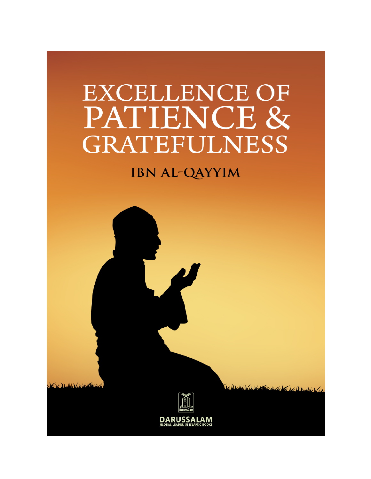# **EXCELLENCE OF** PATIENCE & **GRATEFULNESS**

## **IBN AL-QAYYIM**

CV Dulling V State



Add (12) State letter (2) of Dealby V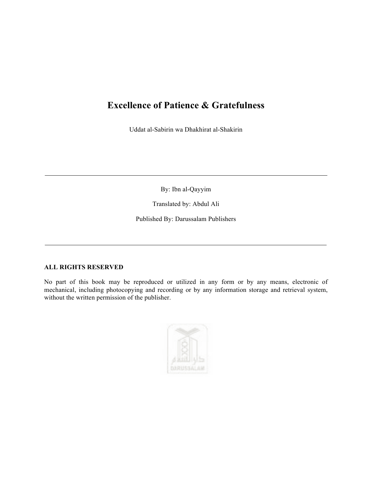## **Excellence of Patience & Gratefulness**

Uddat al-Sabirin wa Dhakhirat al-Shakirin

By: Ibn al-Qayyim

Translated by: Abdul Ali

Published By: Darussalam Publishers

### **ALL RIGHTS RESERVED**

No part of this book may be reproduced or utilized in any form or by any means, electronic of mechanical, including photocopying and recording or by any information storage and retrieval system, without the written permission of the publisher.

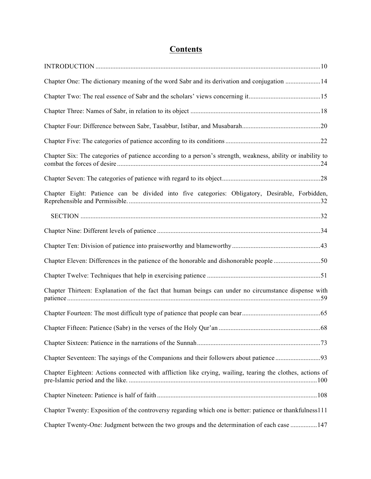## **Contents**

| Chapter One: The dictionary meaning of the word Sabr and its derivation and conjugation 14                  |
|-------------------------------------------------------------------------------------------------------------|
|                                                                                                             |
|                                                                                                             |
|                                                                                                             |
|                                                                                                             |
| Chapter Six: The categories of patience according to a person's strength, weakness, ability or inability to |
|                                                                                                             |
| Chapter Eight: Patience can be divided into five categories: Obligatory, Desirable, Forbidden,              |
|                                                                                                             |
|                                                                                                             |
|                                                                                                             |
| Chapter Eleven: Differences in the patience of the honorable and dishonorable people 50                     |
|                                                                                                             |
| Chapter Thirteen: Explanation of the fact that human beings can under no circumstance dispense with         |
|                                                                                                             |
|                                                                                                             |
|                                                                                                             |
|                                                                                                             |
| Chapter Eighteen: Actions connected with affliction like crying, wailing, tearing the clothes, actions of   |
|                                                                                                             |
| Chapter Twenty: Exposition of the controversy regarding which one is better: patience or thankfulness111    |
| Chapter Twenty-One: Judgment between the two groups and the determination of each case  147                 |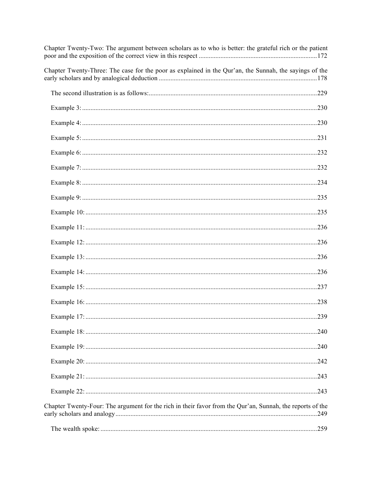| Chapter Twenty-Two: The argument between scholars as to who is better: the grateful rich or the patient   |     |
|-----------------------------------------------------------------------------------------------------------|-----|
| Chapter Twenty-Three: The case for the poor as explained in the Qur'an, the Sunnah, the sayings of the    |     |
|                                                                                                           |     |
|                                                                                                           |     |
|                                                                                                           |     |
|                                                                                                           |     |
|                                                                                                           |     |
|                                                                                                           |     |
|                                                                                                           |     |
|                                                                                                           |     |
|                                                                                                           |     |
|                                                                                                           |     |
|                                                                                                           |     |
|                                                                                                           |     |
|                                                                                                           |     |
|                                                                                                           |     |
|                                                                                                           |     |
|                                                                                                           |     |
|                                                                                                           |     |
|                                                                                                           |     |
|                                                                                                           |     |
|                                                                                                           |     |
|                                                                                                           |     |
| Chapter Twenty-Four: The argument for the rich in their favor from the Qur'an, Sunnah, the reports of the | 249 |
|                                                                                                           |     |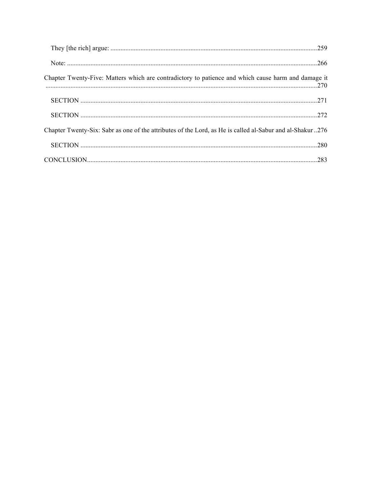| Chapter Twenty-Five: Matters which are contradictory to patience and which cause harm and damage it      |  |
|----------------------------------------------------------------------------------------------------------|--|
|                                                                                                          |  |
|                                                                                                          |  |
| Chapter Twenty-Six: Sabr as one of the attributes of the Lord, as He is called al-Sabur and al-Shakur276 |  |
|                                                                                                          |  |
|                                                                                                          |  |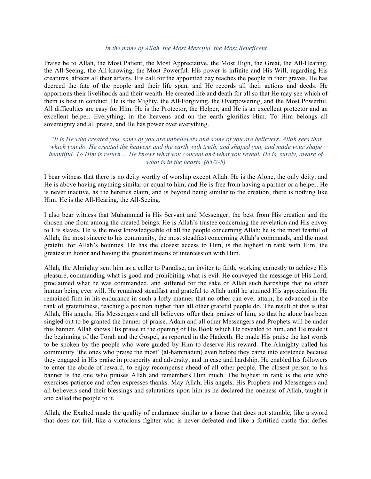#### *In the name of Allah, the Most Merciful, the Most Beneficent*

Praise be to Allah, the Most Patient, the Most Appreciative, the Most High, the Great, the All-Hearing, the All-Seeing, the All-knowing, the Most Powerful. His power is infinite and His Will, regarding His creatures, affects all their affairs. His call for the appointed day reaches the people in their graves. He has decreed the fate of the people and their life span, and He records all their actions and deeds. He apportions their livelihoods and their wealth. He created life and death for all so that He may see which of them is best in conduct. He is the Mighty, the All-Forgiving, the Overpowering, and the Most Powerful. All difficulties are easy for Him. He is the Protector, the Helper, and He is an excellent protector and an excellent helper. Everything, in the heavens and on the earth glorifies Him. To Him belongs all sovereignty and all praise, and He has power over everything.

*"It is He who created you, some of you are unbelievers and some of you are believers. Allah sees that which you do. He created the heavens and the earth with truth, and shaped you, and made your shape beautiful. To Him is return.... He knows what you conceal and what you reveal. He is, surely, aware of what is in the hearts. (65/2-5)*

I bear witness that there is no deity worthy of worship except Allah. He is the Alone, the only deity, and He is above having anything similar or equal to him, and He is free from having a partner or a helper. He is never inactive, as the heretics claim, and is beyond being similar to the creation; there is nothing like Him. He is the All-Hearing, the All-Seeing.

I also bear witness that Muhammad is His Servant and Messenger; the best from His creation and the chosen one from among the created beings. He is Allah's trustee concerning the revelation and His envoy to His slaves. He is the most knowledgeable of all the people concerning Allah; he is the most fearful of Allah, the most sincere to his community, the most steadfast concerning Allah's commands, and the most grateful for Allah's bounties. He has the closest access to Him, is the highest in rank with Him, the greatest in honor and having the greatest means of intercession with Him.

Allah, the Almighty sent him as a caller to Paradise, an inviter to faith, working earnestly to achieve His pleasure, commanding what is good and prohibiting what is evil. He conveyed the message of His Lord, proclaimed what he was commanded, and suffered for the sake of Allah such hardships that no other human being ever will. He remained steadfast and grateful to Allah until he attained His appreciation. He remained firm in his endurance in such a lofty manner that no other can ever attain; he advanced in the rank of gratefulness, reaching a position higher than all other grateful people do. The result of this is that Allah, His angels, His Messengers and all believers offer their praises of him, so that he alone has been singled out to be granted the banner of praise. Adam and all other Messengers and Prophets will be under this banner. Allah shows His praise in the opening of His Book which He revealed to him, and He made it the beginning of the Torah and the Gospel, as reported in the Hadeeth. He made His praise the last words to be spoken by the people who were guided by Him to deserve His reward. The Almighty called his community 'the ones who praise the most' (al-hammadun) even before they came into existence because they engaged in His praise in prosperity and adversity, and in ease and hardship. He enabled his followers to enter the abode of reward, to enjoy recompense ahead of all other people. The closest person to his banner is the one who praises Allah and remembers Him much. The highest in rank is the one who exercises patience and often expresses thanks. May Allah, His angels, His Prophets and Messengers and all believers send their blessings and salutations upon him as he declared the oneness of Allah, taught it and called the people to it.

Allah, the Exalted made the quality of endurance similar to a horse that does not stumble, like a sword that does not fail, like a victorious fighter who is never defeated and like a fortified castle that defies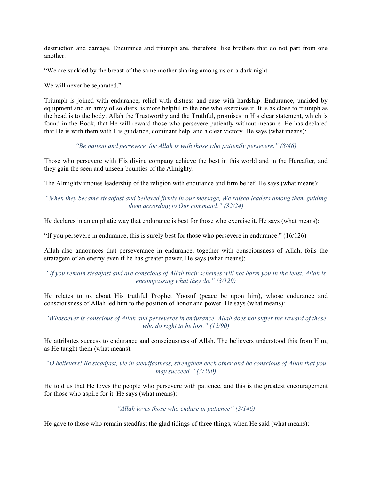destruction and damage. Endurance and triumph are, therefore, like brothers that do not part from one another.

"We are suckled by the breast of the same mother sharing among us on a dark night.

We will never be separated."

Triumph is joined with endurance, relief with distress and ease with hardship. Endurance, unaided by equipment and an army of soldiers, is more helpful to the one who exercises it. It is as close to triumph as the head is to the body. Allah the Trustworthy and the Truthful, promises in His clear statement, which is found in the Book, that He will reward those who persevere patiently without measure. He has declared that He is with them with His guidance, dominant help, and a clear victory. He says (what means):

*"Be patient and persevere, for Allah is with those who patiently persevere." (8/46)*

Those who persevere with His divine company achieve the best in this world and in the Hereafter, and they gain the seen and unseen bounties of the Almighty.

The Almighty imbues leadership of the religion with endurance and firm belief. He says (what means):

*"When they became steadfast and believed firmly in our message, We raised leaders among them guiding them according to Our command." (32/24)*

He declares in an emphatic way that endurance is best for those who exercise it. He says (what means):

"If you persevere in endurance, this is surely best for those who persevere in endurance." (16/126)

Allah also announces that perseverance in endurance, together with consciousness of Allah, foils the stratagem of an enemy even if he has greater power. He says (what means):

*"If you remain steadfast and are conscious of Allah their schemes will not harm you in the least. Allah is encompassing what they do." (3/120)*

He relates to us about His truthful Prophet Yoosuf (peace be upon him), whose endurance and consciousness of Allah led him to the position of honor and power. He says (what means):

*"Whosoever is conscious of Allah and perseveres in endurance, Allah does not suffer the reward of those who do right to be lost." (12/90)*

He attributes success to endurance and consciousness of Allah. The believers understood this from Him, as He taught them (what means):

*"O believers! Be steadfast, vie in steadfastness, strengthen each other and be conscious of Allah that you may succeed." (3/200)*

He told us that He loves the people who persevere with patience, and this is the greatest encouragement for those who aspire for it. He says (what means):

#### *"Allah loves those who endure in patience" (3/146)*

He gave to those who remain steadfast the glad tidings of three things, when He said (what means):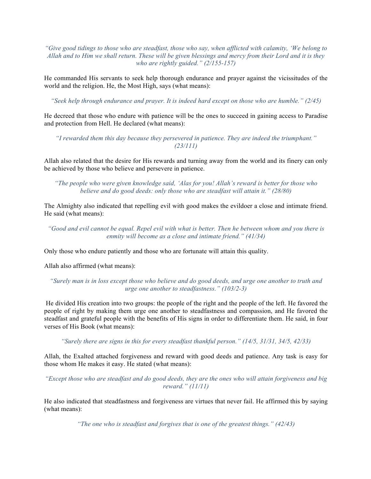*"Give good tidings to those who are steadfast, those who say, when afflicted with calamity, 'We belong to Allah and to Him we shall return. These will be given blessings and mercy from their Lord and it is they who are rightly guided." (2/155-157)*

He commanded His servants to seek help thorough endurance and prayer against the vicissitudes of the world and the religion. He, the Most High, says (what means):

*"Seek help through endurance and prayer. It is indeed hard except on those who are humble." (2/45)*

He decreed that those who endure with patience will be the ones to succeed in gaining access to Paradise and protection from Hell. He declared (what means):

*"I rewarded them this day because they persevered in patience. They are indeed the triumphant." (23/111)*

Allah also related that the desire for His rewards and turning away from the world and its finery can only be achieved by those who believe and persevere in patience.

*"The people who were given knowledge said, 'Alas for you! Allah's reward is better for those who believe and do good deeds: only those who are steadfast will attain it." (28/80)*

The Almighty also indicated that repelling evil with good makes the evildoer a close and intimate friend. He said (what means):

*"Good and evil cannot be equal. Repel evil with what is better. Then he between whom and you there is enmity will become as a close and intimate friend." (41/34)*

Only those who endure patiently and those who are fortunate will attain this quality.

Allah also affirmed (what means):

*"Surely man is in loss except those who believe and do good deeds, and urge one another to truth and urge one another to steadfastness." (103/2-3)*

He divided His creation into two groups: the people of the right and the people of the left. He favored the people of right by making them urge one another to steadfastness and compassion, and He favored the steadfast and grateful people with the benefits of His signs in order to differentiate them. He said, in four verses of His Book (what means):

*"Surely there are signs in this for every steadfast thankful person." (14/5, 31/31, 34/5, 42/33)*

Allah, the Exalted attached forgiveness and reward with good deeds and patience. Any task is easy for those whom He makes it easy. He stated (what means):

*"Except those who are steadfast and do good deeds, they are the ones who will attain forgiveness and big reward." (11/11)*

He also indicated that steadfastness and forgiveness are virtues that never fail. He affirmed this by saying (what means):

*"The one who is steadfast and forgives that is one of the greatest things." (42/43)*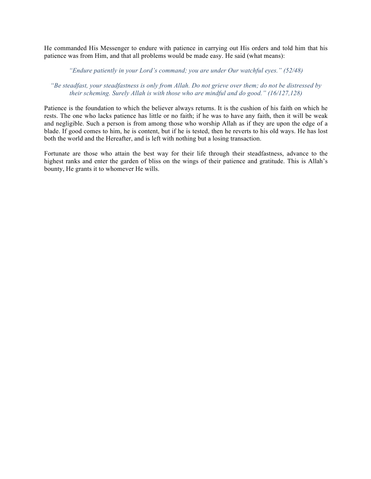He commanded His Messenger to endure with patience in carrying out His orders and told him that his patience was from Him, and that all problems would be made easy. He said (what means):

#### *"Endure patiently in your Lord's command; you are under Our watchful eyes." (52/48)*

### *"Be steadfast, your steadfastness is only from Allah. Do not grieve over them; do not be distressed by their scheming. Surely Allah is with those who are mindful and do good." (16/127,128)*

Patience is the foundation to which the believer always returns. It is the cushion of his faith on which he rests. The one who lacks patience has little or no faith; if he was to have any faith, then it will be weak and negligible. Such a person is from among those who worship Allah as if they are upon the edge of a blade. If good comes to him, he is content, but if he is tested, then he reverts to his old ways. He has lost both the world and the Hereafter, and is left with nothing but a losing transaction.

Fortunate are those who attain the best way for their life through their steadfastness, advance to the highest ranks and enter the garden of bliss on the wings of their patience and gratitude. This is Allah's bounty, He grants it to whomever He wills.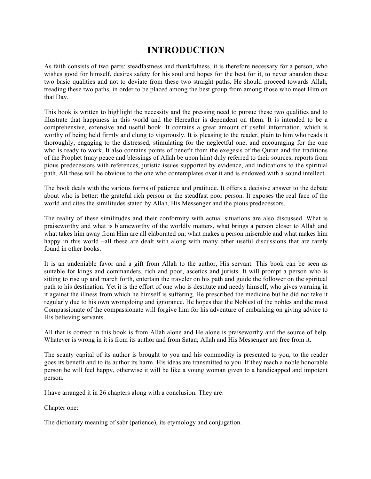## **INTRODUCTION**

As faith consists of two parts: steadfastness and thankfulness, it is therefore necessary for a person, who wishes good for himself, desires safety for his soul and hopes for the best for it, to never abandon these two basic qualities and not to deviate from these two straight paths. He should proceed towards Allah, treading these two paths, in order to be placed among the best group from among those who meet Him on that Day.

This book is written to highlight the necessity and the pressing need to pursue these two qualities and to illustrate that happiness in this world and the Hereafter is dependent on them. It is intended to be a comprehensive, extensive and useful book. It contains a great amount of useful information, which is worthy of being held firmly and clung to vigorously. It is pleasing to the reader, plain to him who reads it thoroughly, engaging to the distressed, stimulating for the neglectful one, and encouraging for the one who is ready to work. It also contains points of benefit from the exegesis of the Quran and the traditions of the Prophet (may peace and blessings of Allah be upon him) duly referred to their sources, reports from pious predecessors with references, juristic issues supported by evidence, and indications to the spiritual path. All these will be obvious to the one who contemplates over it and is endowed with a sound intellect.

The book deals with the various forms of patience and gratitude. It offers a decisive answer to the debate about who is better: the grateful rich person or the steadfast poor person. It exposes the real face of the world and cites the similitudes stated by Allah, His Messenger and the pious predecessors.

The reality of these similitudes and their conformity with actual situations are also discussed. What is praiseworthy and what is blameworthy of the worldly matters, what brings a person closer to Allah and what takes him away from Him are all elaborated on; what makes a person miserable and what makes him happy in this world –all these are dealt with along with many other useful discussions that are rarely found in other books.

It is an undeniable favor and a gift from Allah to the author, His servant. This book can be seen as suitable for kings and commanders, rich and poor, ascetics and jurists. It will prompt a person who is sitting to rise up and march forth, entertain the traveler on his path and guide the follower on the spiritual path to his destination. Yet it is the effort of one who is destitute and needy himself, who gives warning in it against the illness from which he himself is suffering. He prescribed the medicine but he did not take it regularly due to his own wrongdoing and ignorance. He hopes that the Noblest of the nobles and the most Compassionate of the compassionate will forgive him for his adventure of embarking on giving advice to His believing servants.

All that is correct in this book is from Allah alone and He alone is praiseworthy and the source of help. Whatever is wrong in it is from its author and from Satan; Allah and His Messenger are free from it.

The scanty capital of its author is brought to you and his commodity is presented to you, to the reader goes its benefit and to its author its harm. His ideas are transmitted to you. If they reach a noble honorable person he will feel happy, otherwise it will be like a young woman given to a handicapped and impotent person.

I have arranged it in 26 chapters along with a conclusion. They are:

Chapter one:

The dictionary meaning of sabr (patience), its etymology and conjugation.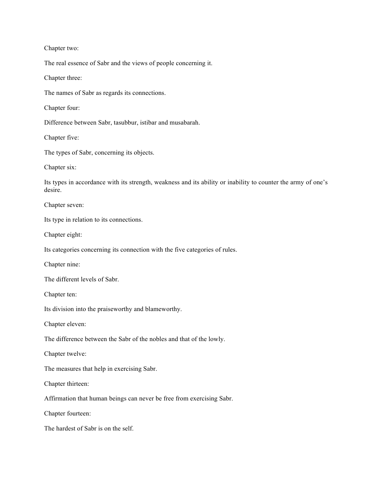Chapter two:

The real essence of Sabr and the views of people concerning it.

Chapter three:

The names of Sabr as regards its connections.

Chapter four:

Difference between Sabr, tasubbur, istibar and musabarah.

Chapter five:

The types of Sabr, concerning its objects.

Chapter six:

Its types in accordance with its strength, weakness and its ability or inability to counter the army of one's desire.

Chapter seven:

Its type in relation to its connections.

Chapter eight:

Its categories concerning its connection with the five categories of rules.

Chapter nine:

The different levels of Sabr.

Chapter ten:

Its division into the praiseworthy and blameworthy.

Chapter eleven:

The difference between the Sabr of the nobles and that of the lowly.

Chapter twelve:

The measures that help in exercising Sabr.

Chapter thirteen:

Affirmation that human beings can never be free from exercising Sabr.

Chapter fourteen:

The hardest of Sabr is on the self.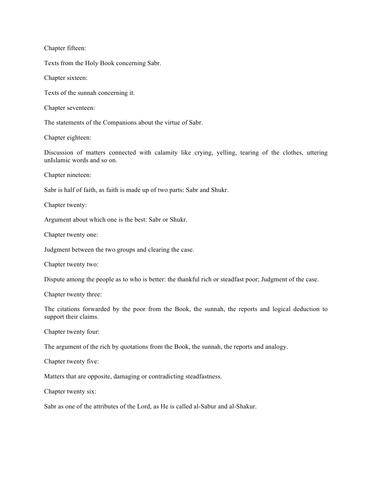Chapter fifteen:

Texts from the Holy Book concerning Sabr.

Chapter sixteen:

Texts of the sunnah concerning it.

Chapter seventeen:

The statements of the Companions about the virtue of Sabr.

Chapter eighteen:

Discussion of matters connected with calamity like crying, yelling, tearing of the clothes, uttering unIslamic words and so on.

Chapter nineteen:

Sabr is half of faith, as faith is made up of two parts: Sabr and Shukr.

Chapter twenty:

Argument about which one is the best: Sabr or Shukr.

Chapter twenty one:

Judgment between the two groups and clearing the case.

Chapter twenty two:

Dispute among the people as to who is better: the thankful rich or steadfast poor; Judgment of the case.

Chapter twenty three:

The citations forwarded by the poor from the Book, the sunnah, the reports and logical deduction to support their claims.

Chapter twenty four:

The argument of the rich by quotations from the Book, the sunnah, the reports and analogy.

Chapter twenty five:

Matters that are opposite, damaging or contradicting steadfastness.

Chapter twenty six:

Sabr as one of the attributes of the Lord, as He is called al-Sabur and al-Shakur.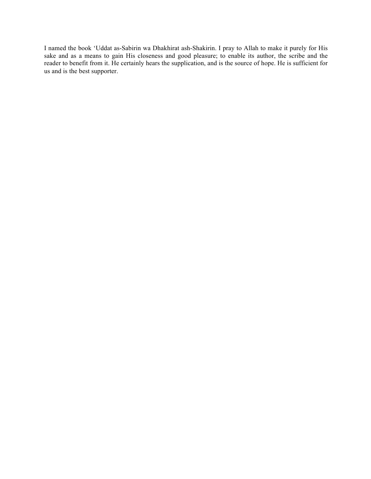I named the book 'Uddat as-Sabirin wa Dhakhirat ash-Shakirin. I pray to Allah to make it purely for His sake and as a means to gain His closeness and good pleasure; to enable its author, the scribe and the reader to benefit from it. He certainly hears the supplication, and is the source of hope. He is sufficient for us and is the best supporter.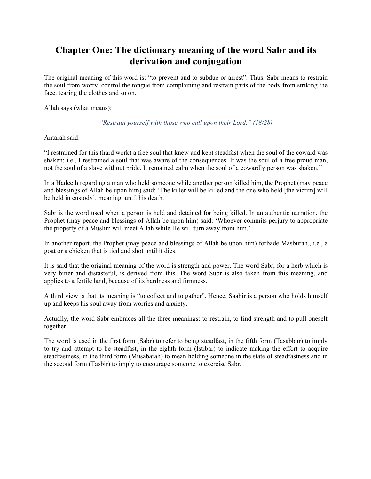## **Chapter One: The dictionary meaning of the word Sabr and its derivation and conjugation**

The original meaning of this word is: "to prevent and to subdue or arrest". Thus, Sabr means to restrain the soul from worry, control the tongue from complaining and restrain parts of the body from striking the face, tearing the clothes and so on.

Allah says (what means):

#### *"Restrain yourself with those who call upon their Lord." (18/28)*

#### Antarah said:

"I restrained for this (hard work) a free soul that knew and kept steadfast when the soul of the coward was shaken; i.e., I restrained a soul that was aware of the consequences. It was the soul of a free proud man, not the soul of a slave without pride. It remained calm when the soul of a cowardly person was shaken.''

In a Hadeeth regarding a man who held someone while another person killed him, the Prophet (may peace and blessings of Allah be upon him) said: 'The killer will be killed and the one who held [the victim] will be held in custody', meaning, until his death.

Sabr is the word used when a person is held and detained for being killed. In an authentic narration, the Prophet (may peace and blessings of Allah be upon him) said: 'Whoever commits perjury to appropriate the property of a Muslim will meet Allah while He will turn away from him.'

In another report, the Prophet (may peace and blessings of Allah be upon him) forbade Masburah,, i.e., a goat or a chicken that is tied and shot until it dies.

It is said that the original meaning of the word is strength and power. The word Sabr, for a herb which is very bitter and distasteful, is derived from this. The word Subr is also taken from this meaning, and applies to a fertile land, because of its hardness and firmness.

A third view is that its meaning is "to collect and to gather". Hence, Saabir is a person who holds himself up and keeps his soul away from worries and anxiety.

Actually, the word Sabr embraces all the three meanings: to restrain, to find strength and to pull oneself together.

The word is used in the first form (Sabr) to refer to being steadfast, in the fifth form (Tasabbur) to imply to try and attempt to be steadfast, in the eighth form (Istibar) to indicate making the effort to acquire steadfastness, in the third form (Musabarah) to mean holding someone in the state of steadfastness and in the second form (Tasbir) to imply to encourage someone to exercise Sabr.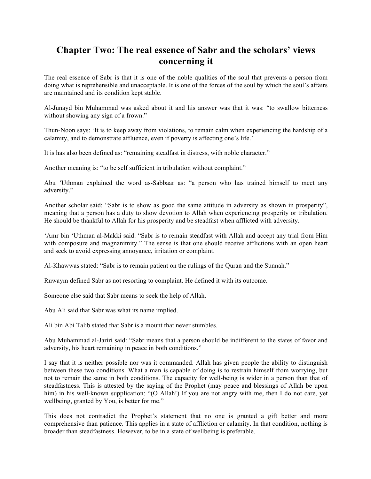## **Chapter Two: The real essence of Sabr and the scholars' views concerning it**

The real essence of Sabr is that it is one of the noble qualities of the soul that prevents a person from doing what is reprehensible and unacceptable. It is one of the forces of the soul by which the soul's affairs are maintained and its condition kept stable.

Al-Junayd bin Muhammad was asked about it and his answer was that it was: "to swallow bitterness without showing any sign of a frown."

Thun-Noon says: 'It is to keep away from violations, to remain calm when experiencing the hardship of a calamity, and to demonstrate affluence, even if poverty is affecting one's life.'

It is has also been defined as: "remaining steadfast in distress, with noble character."

Another meaning is: "to be self sufficient in tribulation without complaint."

Abu 'Uthman explained the word as-Sabbaar as: "a person who has trained himself to meet any adversity."

Another scholar said: "Sabr is to show as good the same attitude in adversity as shown in prosperity", meaning that a person has a duty to show devotion to Allah when experiencing prosperity or tribulation. He should be thankful to Allah for his prosperity and be steadfast when afflicted with adversity.

'Amr bin 'Uthman al-Makki said: "Sabr is to remain steadfast with Allah and accept any trial from Him with composure and magnanimity." The sense is that one should receive afflictions with an open heart and seek to avoid expressing annoyance, irritation or complaint.

Al-Khawwas stated: "Sabr is to remain patient on the rulings of the Quran and the Sunnah."

Ruwaym defined Sabr as not resorting to complaint. He defined it with its outcome.

Someone else said that Sabr means to seek the help of Allah.

Abu Ali said that Sabr was what its name implied.

Ali bin Abi Talib stated that Sabr is a mount that never stumbles.

Abu Muhammad al-Jariri said: "Sabr means that a person should be indifferent to the states of favor and adversity, his heart remaining in peace in both conditions."

I say that it is neither possible nor was it commanded. Allah has given people the ability to distinguish between these two conditions. What a man is capable of doing is to restrain himself from worrying, but not to remain the same in both conditions. The capacity for well-being is wider in a person than that of steadfastness. This is attested by the saying of the Prophet (may peace and blessings of Allah be upon him) in his well-known supplication: "(O Allah!) If you are not angry with me, then I do not care, yet wellbeing, granted by You, is better for me."

This does not contradict the Prophet's statement that no one is granted a gift better and more comprehensive than patience. This applies in a state of affliction or calamity. In that condition, nothing is broader than steadfastness. However, to be in a state of wellbeing is preferable.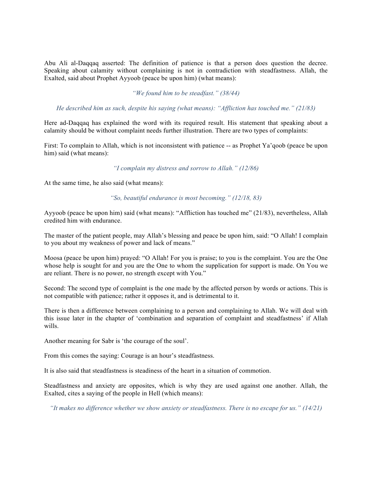Abu Ali al-Daqqaq asserted: The definition of patience is that a person does question the decree. Speaking about calamity without complaining is not in contradiction with steadfastness. Allah, the Exalted, said about Prophet Ayyoob (peace be upon him) (what means):

*"We found him to be steadfast." (38/44)*

*He described him as such, despite his saying (what means): "Affliction has touched me." (21/83)*

Here ad-Daqqaq has explained the word with its required result. His statement that speaking about a calamity should be without complaint needs further illustration. There are two types of complaints:

First: To complain to Allah, which is not inconsistent with patience -- as Prophet Ya'qoob (peace be upon him) said (what means):

*"I complain my distress and sorrow to Allah." (12/86)*

At the same time, he also said (what means):

*"So, beautiful endurance is most becoming." (12/18, 83)*

Ayyoob (peace be upon him) said (what means): "Affliction has touched me" (21/83), nevertheless, Allah credited him with endurance.

The master of the patient people, may Allah's blessing and peace be upon him, said: "O Allah! I complain to you about my weakness of power and lack of means."

Moosa (peace be upon him) prayed: "O Allah! For you is praise; to you is the complaint. You are the One whose help is sought for and you are the One to whom the supplication for support is made. On You we are reliant. There is no power, no strength except with You."

Second: The second type of complaint is the one made by the affected person by words or actions. This is not compatible with patience; rather it opposes it, and is detrimental to it.

There is then a difference between complaining to a person and complaining to Allah. We will deal with this issue later in the chapter of 'combination and separation of complaint and steadfastness' if Allah wills.

Another meaning for Sabr is 'the courage of the soul'.

From this comes the saying: Courage is an hour's steadfastness.

It is also said that steadfastness is steadiness of the heart in a situation of commotion.

Steadfastness and anxiety are opposites, which is why they are used against one another. Allah, the Exalted, cites a saying of the people in Hell (which means):

*"It makes no difference whether we show anxiety or steadfastness. There is no escape for us." (14/21)*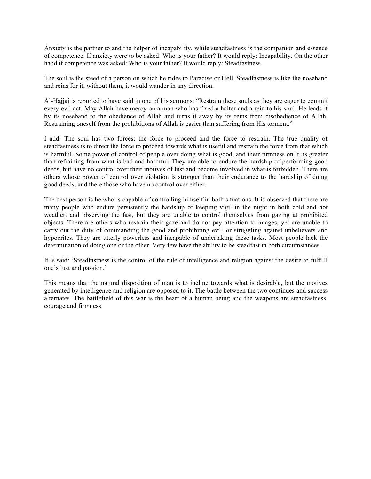Anxiety is the partner to and the helper of incapability, while steadfastness is the companion and essence of competence. If anxiety were to be asked: Who is your father? It would reply: Incapability. On the other hand if competence was asked: Who is your father? It would reply: Steadfastness.

The soul is the steed of a person on which he rides to Paradise or Hell. Steadfastness is like the noseband and reins for it; without them, it would wander in any direction.

Al-Hajjaj is reported to have said in one of his sermons: "Restrain these souls as they are eager to commit every evil act. May Allah have mercy on a man who has fixed a halter and a rein to his soul. He leads it by its noseband to the obedience of Allah and turns it away by its reins from disobedience of Allah. Restraining oneself from the prohibitions of Allah is easier than suffering from His torment."

I add: The soul has two forces: the force to proceed and the force to restrain. The true quality of steadfastness is to direct the force to proceed towards what is useful and restrain the force from that which is harmful. Some power of control of people over doing what is good, and their firmness on it, is greater than refraining from what is bad and harmful. They are able to endure the hardship of performing good deeds, but have no control over their motives of lust and become involved in what is forbidden. There are others whose power of control over violation is stronger than their endurance to the hardship of doing good deeds, and there those who have no control over either.

The best person is he who is capable of controlling himself in both situations. It is observed that there are many people who endure persistently the hardship of keeping vigil in the night in both cold and hot weather, and observing the fast, but they are unable to control themselves from gazing at prohibited objects. There are others who restrain their gaze and do not pay attention to images, yet are unable to carry out the duty of commanding the good and prohibiting evil, or struggling against unbelievers and hypocrites. They are utterly powerless and incapable of undertaking these tasks. Most people lack the determination of doing one or the other. Very few have the ability to be steadfast in both circumstances.

It is said: 'Steadfastness is the control of the rule of intelligence and religion against the desire to fulfilll one's lust and passion.'

This means that the natural disposition of man is to incline towards what is desirable, but the motives generated by intelligence and religion are opposed to it. The battle between the two continues and success alternates. The battlefield of this war is the heart of a human being and the weapons are steadfastness, courage and firmness.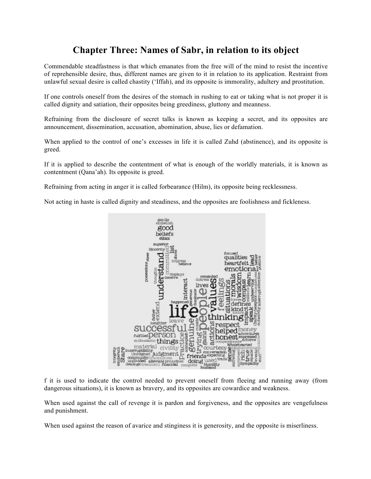## **Chapter Three: Names of Sabr, in relation to its object**

Commendable steadfastness is that which emanates from the free will of the mind to resist the incentive of reprehensible desire, thus, different names are given to it in relation to its application. Restraint from unlawful sexual desire is called chastity ('Iffah), and its opposite is immorality, adultery and prostitution.

If one controls oneself from the desires of the stomach in rushing to eat or taking what is not proper it is called dignity and satiation, their opposites being greediness, gluttony and meanness.

Refraining from the disclosure of secret talks is known as keeping a secret, and its opposites are announcement, dissemination, accusation, abomination, abuse, lies or defamation.

When applied to the control of one's excesses in life it is called Zuhd (abstinence), and its opposite is greed.

If it is applied to describe the contentment of what is enough of the worldly materials, it is known as contentment (Qana'ah). Its opposite is greed.

Refraining from acting in anger it is called forbearance (Hilm), its opposite being recklessness.

Not acting in haste is called dignity and steadiness, and the opposites are foolishness and fickleness.



f it is used to indicate the control needed to prevent oneself from fleeing and running away (from dangerous situations), it is known as bravery, and its opposites are cowardice and weakness.

When used against the call of revenge it is pardon and forgiveness, and the opposites are vengefulness and punishment.

When used against the reason of avarice and stinginess it is generosity, and the opposite is miserliness.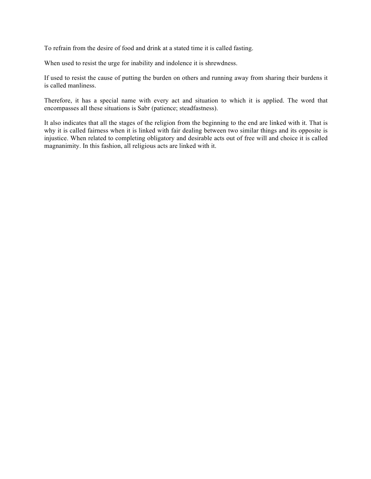To refrain from the desire of food and drink at a stated time it is called fasting.

When used to resist the urge for inability and indolence it is shrewdness.

If used to resist the cause of putting the burden on others and running away from sharing their burdens it is called manliness.

Therefore, it has a special name with every act and situation to which it is applied. The word that encompasses all these situations is Sabr (patience; steadfastness).

It also indicates that all the stages of the religion from the beginning to the end are linked with it. That is why it is called fairness when it is linked with fair dealing between two similar things and its opposite is injustice. When related to completing obligatory and desirable acts out of free will and choice it is called magnanimity. In this fashion, all religious acts are linked with it.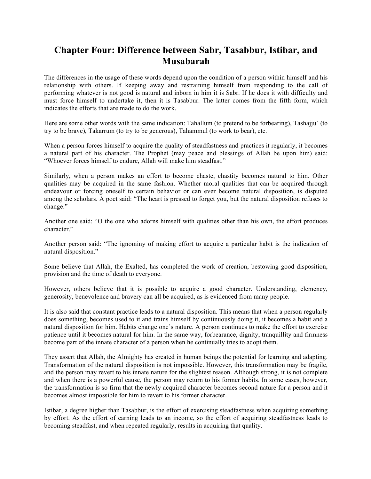## **Chapter Four: Difference between Sabr, Tasabbur, Istibar, and Musabarah**

The differences in the usage of these words depend upon the condition of a person within himself and his relationship with others. If keeping away and restraining himself from responding to the call of performing whatever is not good is natural and inborn in him it is Sabr. If he does it with difficulty and must force himself to undertake it, then it is Tasabbur. The latter comes from the fifth form, which indicates the efforts that are made to do the work.

Here are some other words with the same indication: Tahallum (to pretend to be forbearing), Tashajju' (to try to be brave), Takarrum (to try to be generous), Tahammul (to work to bear), etc.

When a person forces himself to acquire the quality of steadfastness and practices it regularly, it becomes a natural part of his character. The Prophet (may peace and blessings of Allah be upon him) said: "Whoever forces himself to endure, Allah will make him steadfast."

Similarly, when a person makes an effort to become chaste, chastity becomes natural to him. Other qualities may be acquired in the same fashion. Whether moral qualities that can be acquired through endeavour or forcing oneself to certain behavior or can ever become natural disposition, is disputed among the scholars. A poet said: "The heart is pressed to forget you, but the natural disposition refuses to change."

Another one said: "O the one who adorns himself with qualities other than his own, the effort produces character."

Another person said: "The ignominy of making effort to acquire a particular habit is the indication of natural disposition."

Some believe that Allah, the Exalted, has completed the work of creation, bestowing good disposition, provision and the time of death to everyone.

However, others believe that it is possible to acquire a good character. Understanding, clemency, generosity, benevolence and bravery can all be acquired, as is evidenced from many people.

It is also said that constant practice leads to a natural disposition. This means that when a person regularly does something, becomes used to it and trains himself by continuously doing it, it becomes a habit and a natural disposition for him. Habits change one's nature. A person continues to make the effort to exercise patience until it becomes natural for him. In the same way, forbearance, dignity, tranquillity and firmness become part of the innate character of a person when he continually tries to adopt them.

They assert that Allah, the Almighty has created in human beings the potential for learning and adapting. Transformation of the natural disposition is not impossible. However, this transformation may be fragile, and the person may revert to his innate nature for the slightest reason. Although strong, it is not complete and when there is a powerful cause, the person may return to his former habits. In some cases, however, the transformation is so firm that the newly acquired character becomes second nature for a person and it becomes almost impossible for him to revert to his former character.

Istibar, a degree higher than Tasabbur, is the effort of exercising steadfastness when acquiring something by effort. As the effort of earning leads to an income, so the effort of acquiring steadfastness leads to becoming steadfast, and when repeated regularly, results in acquiring that quality.